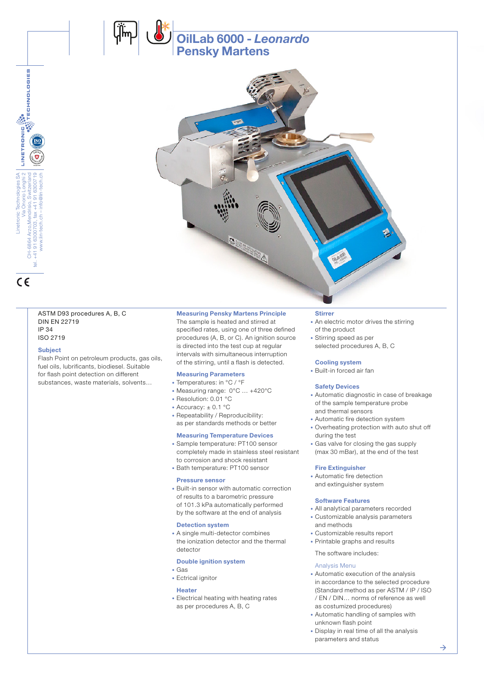

#### ASTM D93 procedures A, B, C DIN EN 22719 IP 34 ISO 2719

#### **Subject**

Flash Point on petroleum products, gas oils, fuel oils, lubrificants, biodiesel. Suitable for flash point detection on different substances, waste materials, solvents…

#### Measuring Pensky Martens Principle

The sample is heated and stirred at specified rates, using one of three defined procedures (A, B, or C). An ignition source is directed into the test cup at regular intervals with simultaneous interruption of the stirring, until a flash is detected.

OilLab 6000 - *Leonardo*

Pensky Martens

#### Measuring Parameters

- Temperatures: in °C / °F
- Measuring range: 0°C … +420°C
- Resolution: 0.01 °C
- Accuracy:  $\pm$  0.1 °C
- Repeatability / Reproducibility: as per standards methods or better

#### Measuring Temperature Devices

- Sample temperature: PT100 sensor completely made in stainless steel resistant to corrosion and shock resistant
- Bath temperature: PT100 sensor

#### Pressure sensor

• Built-in sensor with automatic correction of results to a barometric pressure of 101.3 kPa automatically performed by the software at the end of analysis

#### Detection system

• A single multi-detector combines the ionization detector and the thermal detector

#### Double ignition system

- Gas
- Ectrical ignitor

#### Heater

• Electrical heating with heating rates as per procedures A, B, C

#### **Stirrer**

- An electric motor drives the stirring of the product
- Stirring speed as per
- selected procedures A, B, C

#### Cooling system

• Built-in forced air fan

#### Safety Devices

- Automatic diagnostic in case of breakage of the sample temperature probe and thermal sensors
- Automatic fire detection system
- Overheating protection with auto shut off during the test
- Gas valve for closing the gas supply (max 30 mBar), at the end of the test

#### Fire Extinguisher

• Automatic fire detection and extinguisher system

#### Software Features

- All analytical parameters recorded
- Customizable analysis parameters and methods
- Customizable results report
- Printable graphs and results
- The software includes:

#### Analysis Menu

- Automatic execution of the analysis in accordance to the selected procedure (Standard method as per ASTM / IP / ISO / EN / DIN… norms of reference as well as costumized procedures)
- Automatic handling of samples with unknown flash point
- Display in real time of all the analysis parameters and status